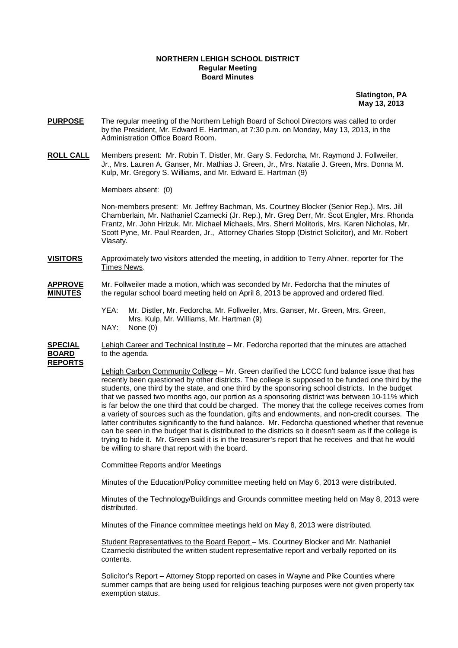## **NORTHERN LEHIGH SCHOOL DISTRICT Regular Meeting Board Minutes**

 **Slatington, PA May 13, 2013** 

- **PURPOSE** The regular meeting of the Northern Lehigh Board of School Directors was called to order by the President, Mr. Edward E. Hartman, at 7:30 p.m. on Monday, May 13, 2013, in the Administration Office Board Room.
- **ROLL CALL** Members present: Mr. Robin T. Distler, Mr. Gary S. Fedorcha, Mr. Raymond J. Follweiler, Jr., Mrs. Lauren A. Ganser, Mr. Mathias J. Green, Jr., Mrs. Natalie J. Green, Mrs. Donna M. Kulp, Mr. Gregory S. Williams, and Mr. Edward E. Hartman (9)

Members absent: (0)

Non-members present: Mr. Jeffrey Bachman, Ms. Courtney Blocker (Senior Rep.), Mrs. Jill Chamberlain, Mr. Nathaniel Czarnecki (Jr. Rep.), Mr. Greg Derr, Mr. Scot Engler, Mrs. Rhonda Frantz, Mr. John Hrizuk, Mr. Michael Michaels, Mrs. Sherri Molitoris, Mrs. Karen Nicholas, Mr. Scott Pyne, Mr. Paul Rearden, Jr., Attorney Charles Stopp (District Solicitor), and Mr. Robert Vlasaty.

**VISITORS** Approximately two visitors attended the meeting, in addition to Terry Ahner, reporter for The Times News.

## **APPROVE** Mr. Follweiler made a motion, which was seconded by Mr. Fedorcha that the minutes of **MINUTES** the regular school board meeting held on April 8, 2013 be approved and ordered filed.

 YEA: Mr. Distler, Mr. Fedorcha, Mr. Follweiler, Mrs. Ganser, Mr. Green, Mrs. Green, Mrs. Kulp, Mr. Williams, Mr. Hartman (9)<br>NAY: None (0) None (0)

**SPECIAL** Lehigh Career and Technical Institute – Mr. Fedorcha reported that the minutes are attached **BOARD** to the agenda. **REPORTS**

> Lehigh Carbon Community College – Mr. Green clarified the LCCC fund balance issue that has recently been questioned by other districts. The college is supposed to be funded one third by the students, one third by the state, and one third by the sponsoring school districts. In the budget that we passed two months ago, our portion as a sponsoring district was between 10-11% which is far below the one third that could be charged. The money that the college receives comes from a variety of sources such as the foundation, gifts and endowments, and non-credit courses. The latter contributes significantly to the fund balance. Mr. Fedorcha questioned whether that revenue can be seen in the budget that is distributed to the districts so it doesn't seem as if the college is trying to hide it. Mr. Green said it is in the treasurer's report that he receives and that he would be willing to share that report with the board.

## Committee Reports and/or Meetings

Minutes of the Education/Policy committee meeting held on May 6, 2013 were distributed.

 Minutes of the Technology/Buildings and Grounds committee meeting held on May 8, 2013 were distributed.

Minutes of the Finance committee meetings held on May 8, 2013 were distributed.

Student Representatives to the Board Report – Ms. Courtney Blocker and Mr. Nathaniel Czarnecki distributed the written student representative report and verbally reported on its contents.

Solicitor's Report – Attorney Stopp reported on cases in Wayne and Pike Counties where summer camps that are being used for religious teaching purposes were not given property tax exemption status.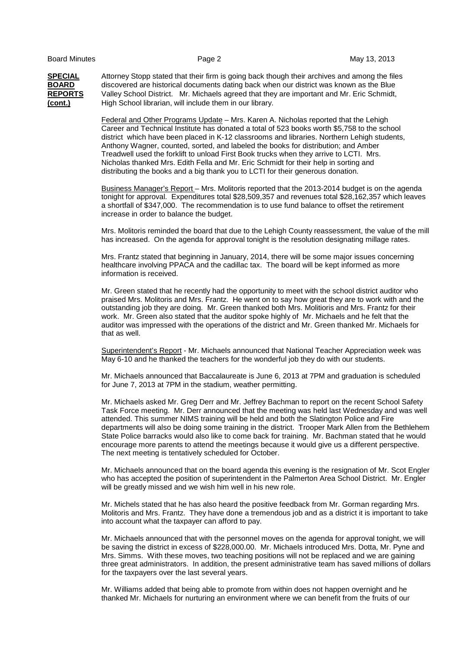**SPECIAL** Attorney Stopp stated that their firm is going back though their archives and among the files **BOARD** discovered are historical documents dating back when our district was known as the Blue **REPORTS** Valley School District. Mr. Michaels agreed that they are important and Mr. Eric Schmidt, **(cont.)** High School librarian, will include them in our library.

> Federal and Other Programs Update – Mrs. Karen A. Nicholas reported that the Lehigh Career and Technical Institute has donated a total of 523 books worth \$5,758 to the school district which have been placed in K-12 classrooms and libraries. Northern Lehigh students, Anthony Wagner, counted, sorted, and labeled the books for distribution; and Amber Treadwell used the forklift to unload First Book trucks when they arrive to LCTI. Mrs. Nicholas thanked Mrs. Edith Fella and Mr. Eric Schmidt for their help in sorting and distributing the books and a big thank you to LCTI for their generous donation.

 Business Manager's Report – Mrs. Molitoris reported that the 2013-2014 budget is on the agenda tonight for approval. Expenditures total \$28,509,357 and revenues total \$28,162,357 which leaves a shortfall of \$347,000. The recommendation is to use fund balance to offset the retirement increase in order to balance the budget.

 Mrs. Molitoris reminded the board that due to the Lehigh County reassessment, the value of the mill has increased. On the agenda for approval tonight is the resolution designating millage rates.

 Mrs. Frantz stated that beginning in January, 2014, there will be some major issues concerning healthcare involving PPACA and the cadillac tax. The board will be kept informed as more information is received.

 Mr. Green stated that he recently had the opportunity to meet with the school district auditor who praised Mrs. Molitoris and Mrs. Frantz. He went on to say how great they are to work with and the outstanding job they are doing. Mr. Green thanked both Mrs. Molitioris and Mrs. Frantz for their work. Mr. Green also stated that the auditor spoke highly of Mr. Michaels and he felt that the auditor was impressed with the operations of the district and Mr. Green thanked Mr. Michaels for that as well.

Superintendent's Report - Mr. Michaels announced that National Teacher Appreciation week was May 6-10 and he thanked the teachers for the wonderful job they do with our students.

 Mr. Michaels announced that Baccalaureate is June 6, 2013 at 7PM and graduation is scheduled for June 7, 2013 at 7PM in the stadium, weather permitting.

Mr. Michaels asked Mr. Greg Derr and Mr. Jeffrey Bachman to report on the recent School Safety Task Force meeting. Mr. Derr announced that the meeting was held last Wednesday and was well attended. This summer NIMS training will be held and both the Slatington Police and Fire departments will also be doing some training in the district. Trooper Mark Allen from the Bethlehem State Police barracks would also like to come back for training. Mr. Bachman stated that he would encourage more parents to attend the meetings because it would give us a different perspective. The next meeting is tentatively scheduled for October.

Mr. Michaels announced that on the board agenda this evening is the resignation of Mr. Scot Engler who has accepted the position of superintendent in the Palmerton Area School District. Mr. Engler will be greatly missed and we wish him well in his new role.

Mr. Michels stated that he has also heard the positive feedback from Mr. Gorman regarding Mrs. Molitoris and Mrs. Frantz. They have done a tremendous job and as a district it is important to take into account what the taxpayer can afford to pay.

Mr. Michaels announced that with the personnel moves on the agenda for approval tonight, we will be saving the district in excess of \$228,000.00. Mr. Michaels introduced Mrs. Dotta, Mr. Pyne and Mrs. Simms. With these moves, two teaching positions will not be replaced and we are gaining three great administrators. In addition, the present administrative team has saved millions of dollars for the taxpayers over the last several years.

 Mr. Williams added that being able to promote from within does not happen overnight and he thanked Mr. Michaels for nurturing an environment where we can benefit from the fruits of our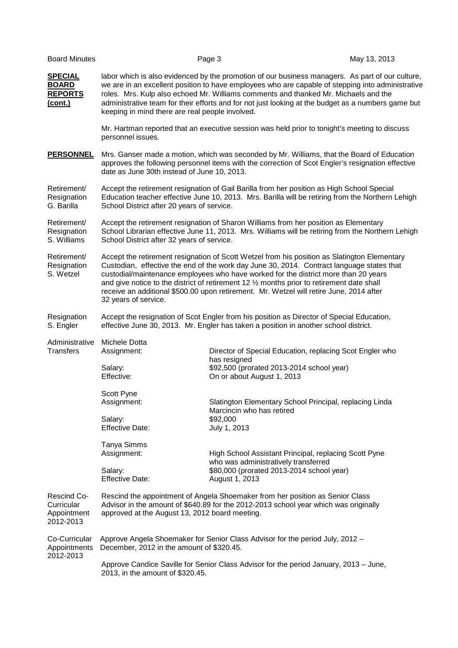| <b>Board Minutes</b>                                        |                                                                                                                                                                                                                                                                                                                                                                                                                                                                                                   | Page 3                                                                                                                                                                                                                                                                                                                                                                                             | May 13, 2013 |  |
|-------------------------------------------------------------|---------------------------------------------------------------------------------------------------------------------------------------------------------------------------------------------------------------------------------------------------------------------------------------------------------------------------------------------------------------------------------------------------------------------------------------------------------------------------------------------------|----------------------------------------------------------------------------------------------------------------------------------------------------------------------------------------------------------------------------------------------------------------------------------------------------------------------------------------------------------------------------------------------------|--------------|--|
| <b>SPECIAL</b><br><b>BOARD</b><br><b>REPORTS</b><br>(cont.) | keeping in mind there are real people involved.                                                                                                                                                                                                                                                                                                                                                                                                                                                   | labor which is also evidenced by the promotion of our business managers. As part of our culture,<br>we are in an excellent position to have employees who are capable of stepping into administrative<br>roles. Mrs. Kulp also echoed Mr. Williams comments and thanked Mr. Michaels and the<br>administrative team for their efforts and for not just looking at the budget as a numbers game but |              |  |
|                                                             | personnel issues.                                                                                                                                                                                                                                                                                                                                                                                                                                                                                 | Mr. Hartman reported that an executive session was held prior to tonight's meeting to discuss                                                                                                                                                                                                                                                                                                      |              |  |
| <b>PERSONNEL</b>                                            | date as June 30th instead of June 10, 2013.                                                                                                                                                                                                                                                                                                                                                                                                                                                       | Mrs. Ganser made a motion, which was seconded by Mr. Williams, that the Board of Education<br>approves the following personnel items with the correction of Scot Engler's resignation effective                                                                                                                                                                                                    |              |  |
| Retirement/<br>Resignation<br>G. Barilla                    | Accept the retirement resignation of Gail Barilla from her position as High School Special<br>Education teacher effective June 10, 2013. Mrs. Barilla will be retiring from the Northern Lehigh<br>School District after 20 years of service.                                                                                                                                                                                                                                                     |                                                                                                                                                                                                                                                                                                                                                                                                    |              |  |
| Retirement/<br>Resignation<br>S. Williams                   | Accept the retirement resignation of Sharon Williams from her position as Elementary<br>School Librarian effective June 11, 2013. Mrs. Williams will be retiring from the Northern Lehigh<br>School District after 32 years of service.                                                                                                                                                                                                                                                           |                                                                                                                                                                                                                                                                                                                                                                                                    |              |  |
| Retirement/<br>Resignation<br>S. Wetzel                     | Accept the retirement resignation of Scott Wetzel from his position as Slatington Elementary<br>Custodian, effective the end of the work day June 30, 2014. Contract language states that<br>custodial/maintenance employees who have worked for the district more than 20 years<br>and give notice to the district of retirement 12 1/2 months prior to retirement date shall<br>receive an additional \$500.00 upon retirement. Mr. Wetzel will retire June, 2014 after<br>32 years of service. |                                                                                                                                                                                                                                                                                                                                                                                                    |              |  |
| Resignation<br>S. Engler                                    | Accept the resignation of Scot Engler from his position as Director of Special Education,<br>effective June 30, 2013. Mr. Engler has taken a position in another school district.                                                                                                                                                                                                                                                                                                                 |                                                                                                                                                                                                                                                                                                                                                                                                    |              |  |
| Administrative<br>Transfers                                 | Michele Dotta<br>Assignment:<br>Salary:<br>Effective:                                                                                                                                                                                                                                                                                                                                                                                                                                             | Director of Special Education, replacing Scot Engler who<br>has resigned<br>\$92,500 (prorated 2013-2014 school year)<br>On or about August 1, 2013                                                                                                                                                                                                                                                |              |  |
|                                                             | Scott Pyne<br>Assignment:<br>Salary:<br><b>Effective Date:</b>                                                                                                                                                                                                                                                                                                                                                                                                                                    | Slatington Elementary School Principal, replacing Linda<br>Marcincin who has retired<br>\$92,000<br>July 1, 2013                                                                                                                                                                                                                                                                                   |              |  |
|                                                             | Tanya Simms<br>Assignment:<br>Salary:<br><b>Effective Date:</b>                                                                                                                                                                                                                                                                                                                                                                                                                                   | High School Assistant Principal, replacing Scott Pyne<br>who was administratively transferred<br>\$80,000 (prorated 2013-2014 school year)<br>August 1, 2013                                                                                                                                                                                                                                       |              |  |
| Rescind Co-<br>Curricular<br>Appointment<br>2012-2013       | Rescind the appointment of Angela Shoemaker from her position as Senior Class<br>Advisor in the amount of \$640.89 for the 2012-2013 school year which was originally<br>approved at the August 13, 2012 board meeting.                                                                                                                                                                                                                                                                           |                                                                                                                                                                                                                                                                                                                                                                                                    |              |  |
| Co-Curricular<br>Appointments<br>2012-2013                  | Approve Angela Shoemaker for Senior Class Advisor for the period July, 2012 -<br>December, 2012 in the amount of \$320.45.                                                                                                                                                                                                                                                                                                                                                                        |                                                                                                                                                                                                                                                                                                                                                                                                    |              |  |
|                                                             | Approve Candice Saville for Senior Class Advisor for the period January, 2013 - June,<br>2013, in the amount of \$320.45.                                                                                                                                                                                                                                                                                                                                                                         |                                                                                                                                                                                                                                                                                                                                                                                                    |              |  |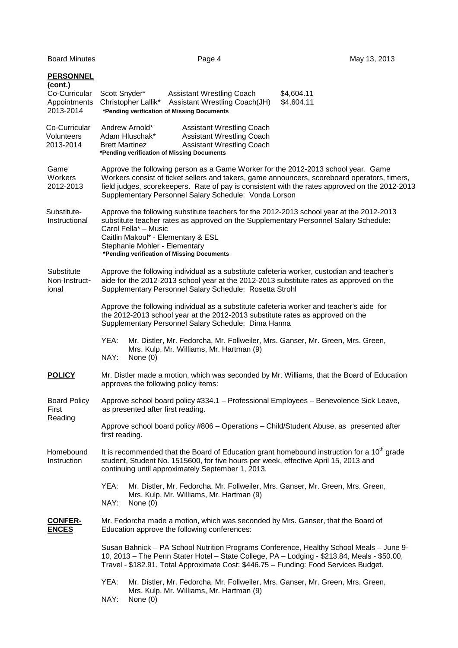|  | <b>PERSONNEL</b><br>(cont.)<br>Co-Curricular<br>Appointments<br>2013-2014 | Scott Snyder*<br><b>Assistant Wrestling Coach</b><br>\$4,604.11<br>\$4,604.11<br>Christopher Lallik*<br>Assistant Wrestling Coach(JH)<br>*Pending verification of Missing Documents                                                                                                                                                          |
|--|---------------------------------------------------------------------------|----------------------------------------------------------------------------------------------------------------------------------------------------------------------------------------------------------------------------------------------------------------------------------------------------------------------------------------------|
|  | Co-Curricular<br><b>Volunteers</b><br>2013-2014                           | Andrew Arnold*<br><b>Assistant Wrestling Coach</b><br>Adam Hluschak*<br><b>Assistant Wrestling Coach</b><br><b>Assistant Wrestling Coach</b><br><b>Brett Martinez</b><br>*Pending verification of Missing Documents                                                                                                                          |
|  | Game<br>Workers<br>2012-2013                                              | Approve the following person as a Game Worker for the 2012-2013 school year. Game<br>Workers consist of ticket sellers and takers, game announcers, scoreboard operators, timers,<br>field judges, scorekeepers. Rate of pay is consistent with the rates approved on the 2012-2013<br>Supplementary Personnel Salary Schedule: Vonda Lorson |
|  | Substitute-<br>Instructional                                              | Approve the following substitute teachers for the 2012-2013 school year at the 2012-2013<br>substitute teacher rates as approved on the Supplementary Personnel Salary Schedule:<br>Carol Fella* - Music<br>Caitlin Makoul* - Elementary & ESL<br>Stephanie Mohler - Elementary<br>*Pending verification of Missing Documents                |
|  | Substitute<br>Non-Instruct-<br>ional                                      | Approve the following individual as a substitute cafeteria worker, custodian and teacher's<br>aide for the 2012-2013 school year at the 2012-2013 substitute rates as approved on the<br>Supplementary Personnel Salary Schedule: Rosetta Strohl                                                                                             |
|  |                                                                           | Approve the following individual as a substitute cafeteria worker and teacher's aide for<br>the 2012-2013 school year at the 2012-2013 substitute rates as approved on the<br>Supplementary Personnel Salary Schedule: Dima Hanna                                                                                                            |
|  |                                                                           | YEA:<br>Mr. Distler, Mr. Fedorcha, Mr. Follweiler, Mrs. Ganser, Mr. Green, Mrs. Green,<br>Mrs. Kulp, Mr. Williams, Mr. Hartman (9)<br>NAY:<br>None $(0)$                                                                                                                                                                                     |
|  | <b>POLICY</b>                                                             | Mr. Distler made a motion, which was seconded by Mr. Williams, that the Board of Education<br>approves the following policy items:                                                                                                                                                                                                           |
|  | <b>Board Policy</b><br>First<br>Reading                                   | Approve school board policy #334.1 - Professional Employees - Benevolence Sick Leave,<br>as presented after first reading.                                                                                                                                                                                                                   |
|  |                                                                           | Approve school board policy #806 – Operations – Child/Student Abuse, as presented after<br>first reading.                                                                                                                                                                                                                                    |
|  | Homebound<br>Instruction                                                  | It is recommended that the Board of Education grant homebound instruction for a $10th$ grade<br>student, Student No. 1515600, for five hours per week, effective April 15, 2013 and<br>continuing until approximately September 1, 2013.                                                                                                     |
|  |                                                                           | YEA:<br>Mr. Distler, Mr. Fedorcha, Mr. Follweiler, Mrs. Ganser, Mr. Green, Mrs. Green,<br>Mrs. Kulp, Mr. Williams, Mr. Hartman (9)<br>NAY:<br>None $(0)$                                                                                                                                                                                     |
|  | <b>CONFER-</b><br><b>ENCES</b>                                            | Mr. Fedorcha made a motion, which was seconded by Mrs. Ganser, that the Board of<br>Education approve the following conferences:                                                                                                                                                                                                             |
|  |                                                                           | Susan Bahnick - PA School Nutrition Programs Conference, Healthy School Meals - June 9-<br>10, 2013 - The Penn Stater Hotel - State College, PA - Lodging - \$213.84, Meals - \$50.00,<br>Travel - \$182.91. Total Approximate Cost: \$446.75 - Funding: Food Services Budget.                                                               |
|  |                                                                           | YEA:<br>Mr. Distler, Mr. Fedorcha, Mr. Follweiler, Mrs. Ganser, Mr. Green, Mrs. Green,<br>Mrs. Kulp, Mr. Williams, Mr. Hartman (9)<br>NAY:<br>None $(0)$                                                                                                                                                                                     |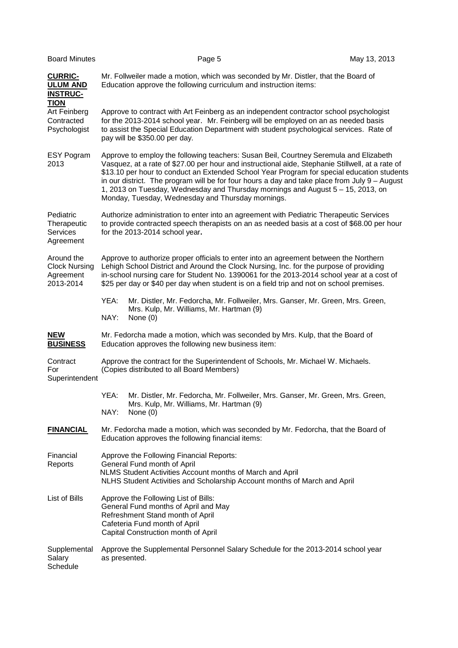| <b>Board Minutes</b>                                                | Page 5                                                                                                                                                                                                                                                                                                                                                                                                                                                                                                                           | May 13, 2013 |
|---------------------------------------------------------------------|----------------------------------------------------------------------------------------------------------------------------------------------------------------------------------------------------------------------------------------------------------------------------------------------------------------------------------------------------------------------------------------------------------------------------------------------------------------------------------------------------------------------------------|--------------|
| <b>CURRIC-</b><br><b>ULUM AND</b><br><b>INSTRUC-</b><br><b>TION</b> | Mr. Follweiler made a motion, which was seconded by Mr. Distler, that the Board of<br>Education approve the following curriculum and instruction items:                                                                                                                                                                                                                                                                                                                                                                          |              |
| Art Feinberg<br>Contracted<br>Psychologist                          | Approve to contract with Art Feinberg as an independent contractor school psychologist<br>for the 2013-2014 school year. Mr. Feinberg will be employed on an as needed basis<br>to assist the Special Education Department with student psychological services. Rate of<br>pay will be \$350.00 per day.                                                                                                                                                                                                                         |              |
| <b>ESY Pogram</b><br>2013                                           | Approve to employ the following teachers: Susan Beil, Courtney Seremula and Elizabeth<br>Vasquez, at a rate of \$27.00 per hour and instructional aide, Stephanie Stillwell, at a rate of<br>\$13.10 per hour to conduct an Extended School Year Program for special education students<br>in our district. The program will be for four hours a day and take place from July 9 - August<br>1, 2013 on Tuesday, Wednesday and Thursday mornings and August 5 - 15, 2013, on<br>Monday, Tuesday, Wednesday and Thursday mornings. |              |
| Pediatric<br>Therapeutic<br>Services<br>Agreement                   | Authorize administration to enter into an agreement with Pediatric Therapeutic Services<br>to provide contracted speech therapists on an as needed basis at a cost of \$68.00 per hour<br>for the 2013-2014 school year.                                                                                                                                                                                                                                                                                                         |              |
| Around the<br><b>Clock Nursing</b><br>Agreement<br>2013-2014        | Approve to authorize proper officials to enter into an agreement between the Northern<br>Lehigh School District and Around the Clock Nursing, Inc. for the purpose of providing<br>in-school nursing care for Student No. 1390061 for the 2013-2014 school year at a cost of<br>\$25 per day or \$40 per day when student is on a field trip and not on school premises.                                                                                                                                                         |              |
|                                                                     | YEA:<br>Mr. Distler, Mr. Fedorcha, Mr. Follweiler, Mrs. Ganser, Mr. Green, Mrs. Green,<br>Mrs. Kulp, Mr. Williams, Mr. Hartman (9)<br>NAY:<br>None $(0)$                                                                                                                                                                                                                                                                                                                                                                         |              |
| <b>NEW</b><br><b>BUSINESS</b>                                       | Mr. Fedorcha made a motion, which was seconded by Mrs. Kulp, that the Board of<br>Education approves the following new business item:                                                                                                                                                                                                                                                                                                                                                                                            |              |
| Contract<br>For<br>Superintendent                                   | Approve the contract for the Superintendent of Schools, Mr. Michael W. Michaels.<br>(Copies distributed to all Board Members)                                                                                                                                                                                                                                                                                                                                                                                                    |              |
|                                                                     | YEA:<br>Mr. Distler, Mr. Fedorcha, Mr. Follweiler, Mrs. Ganser, Mr. Green, Mrs. Green,<br>Mrs. Kulp, Mr. Williams, Mr. Hartman (9)<br>NAY:<br>None $(0)$                                                                                                                                                                                                                                                                                                                                                                         |              |
| <b>FINANCIAL</b>                                                    | Mr. Fedorcha made a motion, which was seconded by Mr. Fedorcha, that the Board of<br>Education approves the following financial items:                                                                                                                                                                                                                                                                                                                                                                                           |              |
| Financial<br>Reports                                                | Approve the Following Financial Reports:<br>General Fund month of April<br>NLMS Student Activities Account months of March and April<br>NLHS Student Activities and Scholarship Account months of March and April                                                                                                                                                                                                                                                                                                                |              |
| List of Bills                                                       | Approve the Following List of Bills:<br>General Fund months of April and May<br>Refreshment Stand month of April<br>Cafeteria Fund month of April<br>Capital Construction month of April                                                                                                                                                                                                                                                                                                                                         |              |
| Supplemental<br>Salary<br>Schedule                                  | Approve the Supplemental Personnel Salary Schedule for the 2013-2014 school year<br>as presented.                                                                                                                                                                                                                                                                                                                                                                                                                                |              |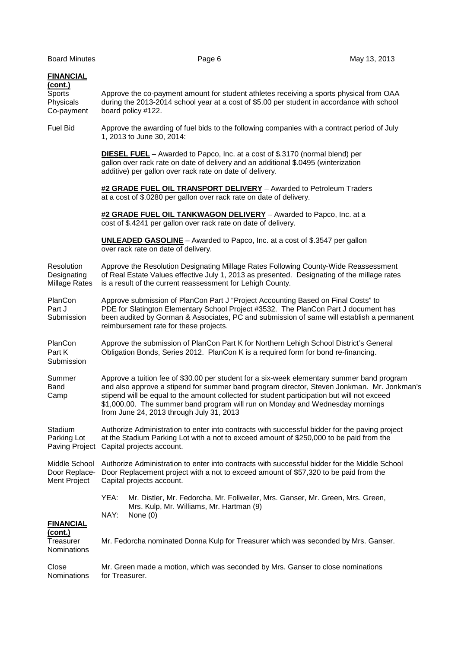| <b>FINANCIAL</b><br>(cont.)<br><b>Sports</b><br>Physicals<br>Co-payment | Approve the co-payment amount for student athletes receiving a sports physical from OAA<br>during the 2013-2014 school year at a cost of \$5.00 per student in accordance with school<br>board policy #122.                                                                                                                                                                                                          |  |
|-------------------------------------------------------------------------|----------------------------------------------------------------------------------------------------------------------------------------------------------------------------------------------------------------------------------------------------------------------------------------------------------------------------------------------------------------------------------------------------------------------|--|
| <b>Fuel Bid</b>                                                         | Approve the awarding of fuel bids to the following companies with a contract period of July<br>1, 2013 to June 30, 2014:                                                                                                                                                                                                                                                                                             |  |
|                                                                         | <b>DIESEL FUEL</b> - Awarded to Papco, Inc. at a cost of \$.3170 (normal blend) per<br>gallon over rack rate on date of delivery and an additional \$.0495 (winterization<br>additive) per gallon over rack rate on date of delivery.                                                                                                                                                                                |  |
|                                                                         | #2 GRADE FUEL OIL TRANSPORT DELIVERY - Awarded to Petroleum Traders<br>at a cost of \$.0280 per gallon over rack rate on date of delivery.                                                                                                                                                                                                                                                                           |  |
|                                                                         | #2 GRADE FUEL OIL TANKWAGON DELIVERY - Awarded to Papco, Inc. at a<br>cost of \$.4241 per gallon over rack rate on date of delivery.                                                                                                                                                                                                                                                                                 |  |
|                                                                         | <b>UNLEADED GASOLINE</b> – Awarded to Papco, Inc. at a cost of \$.3547 per gallon<br>over rack rate on date of delivery.                                                                                                                                                                                                                                                                                             |  |
| Resolution<br>Designating<br>Millage Rates                              | Approve the Resolution Designating Millage Rates Following County-Wide Reassessment<br>of Real Estate Values effective July 1, 2013 as presented. Designating of the millage rates<br>is a result of the current reassessment for Lehigh County.                                                                                                                                                                     |  |
| PlanCon<br>Part J<br>Submission                                         | Approve submission of PlanCon Part J "Project Accounting Based on Final Costs" to<br>PDE for Slatington Elementary School Project #3532. The PlanCon Part J document has<br>been audited by Gorman & Associates, PC and submission of same will establish a permanent<br>reimbursement rate for these projects.                                                                                                      |  |
| PlanCon<br>Part K<br>Submission                                         | Approve the submission of PlanCon Part K for Northern Lehigh School District's General<br>Obligation Bonds, Series 2012. PlanCon K is a required form for bond re-financing.                                                                                                                                                                                                                                         |  |
| Summer<br>Band<br>Camp                                                  | Approve a tuition fee of \$30.00 per student for a six-week elementary summer band program<br>and also approve a stipend for summer band program director, Steven Jonkman. Mr. Jonkman's<br>stipend will be equal to the amount collected for student participation but will not exceed<br>\$1,000.00. The summer band program will run on Monday and Wednesday mornings<br>from June 24, 2013 through July 31, 2013 |  |
| Stadium<br>Parking Lot<br>Paving Project                                | Authorize Administration to enter into contracts with successful bidder for the paving project<br>at the Stadium Parking Lot with a not to exceed amount of \$250,000 to be paid from the<br>Capital projects account.                                                                                                                                                                                               |  |
| Middle School<br>Door Replace-<br>Ment Project                          | Authorize Administration to enter into contracts with successful bidder for the Middle School<br>Door Replacement project with a not to exceed amount of \$57,320 to be paid from the<br>Capital projects account.                                                                                                                                                                                                   |  |
|                                                                         | YEA:<br>Mr. Distler, Mr. Fedorcha, Mr. Follweiler, Mrs. Ganser, Mr. Green, Mrs. Green,<br>Mrs. Kulp, Mr. Williams, Mr. Hartman (9)                                                                                                                                                                                                                                                                                   |  |
| <b>FINANCIAL</b>                                                        | NAY:<br>None (0)                                                                                                                                                                                                                                                                                                                                                                                                     |  |
| <u>(cont.)</u><br>Treasurer<br>Nominations                              | Mr. Fedorcha nominated Donna Kulp for Treasurer which was seconded by Mrs. Ganser.                                                                                                                                                                                                                                                                                                                                   |  |
| Close<br>Nominations                                                    | Mr. Green made a motion, which was seconded by Mrs. Ganser to close nominations<br>for Treasurer.                                                                                                                                                                                                                                                                                                                    |  |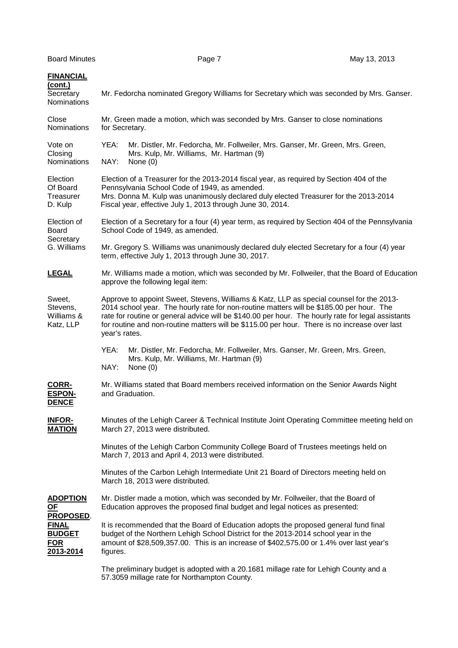| <b>FINANCIAL</b><br>(cont.)<br>Secretary<br>Nominations                                          | Mr. Fedorcha nominated Gregory Williams for Secretary which was seconded by Mrs. Ganser.                                                                                                                                                                                                                                                                                                                     |  |  |
|--------------------------------------------------------------------------------------------------|--------------------------------------------------------------------------------------------------------------------------------------------------------------------------------------------------------------------------------------------------------------------------------------------------------------------------------------------------------------------------------------------------------------|--|--|
| Close<br>Nominations                                                                             | Mr. Green made a motion, which was seconded by Mrs. Ganser to close nominations<br>for Secretary.                                                                                                                                                                                                                                                                                                            |  |  |
| Vote on<br>Closing<br>Nominations                                                                | Mr. Distler, Mr. Fedorcha, Mr. Follweiler, Mrs. Ganser, Mr. Green, Mrs. Green,<br>YEA:<br>Mrs. Kulp, Mr. Williams, Mr. Hartman (9)<br>NAY:<br>None $(0)$                                                                                                                                                                                                                                                     |  |  |
| Election<br>Of Board<br>Treasurer<br>D. Kulp                                                     | Election of a Treasurer for the 2013-2014 fiscal year, as required by Section 404 of the<br>Pennsylvania School Code of 1949, as amended.<br>Mrs. Donna M. Kulp was unanimously declared duly elected Treasurer for the 2013-2014<br>Fiscal year, effective July 1, 2013 through June 30, 2014.                                                                                                              |  |  |
| Election of<br><b>Board</b><br>Secretary<br>G. Williams                                          | Election of a Secretary for a four (4) year term, as required by Section 404 of the Pennsylvania<br>School Code of 1949, as amended.                                                                                                                                                                                                                                                                         |  |  |
|                                                                                                  | Mr. Gregory S. Williams was unanimously declared duly elected Secretary for a four (4) year<br>term, effective July 1, 2013 through June 30, 2017.                                                                                                                                                                                                                                                           |  |  |
| <b>LEGAL</b>                                                                                     | Mr. Williams made a motion, which was seconded by Mr. Follweiler, that the Board of Education<br>approve the following legal item:                                                                                                                                                                                                                                                                           |  |  |
| Sweet,<br>Stevens,<br>Williams &<br>Katz, LLP                                                    | Approve to appoint Sweet, Stevens, Williams & Katz, LLP as special counsel for the 2013-<br>2014 school year. The hourly rate for non-routine matters will be \$185.00 per hour. The<br>rate for routine or general advice will be \$140.00 per hour. The hourly rate for legal assistants<br>for routine and non-routine matters will be \$115.00 per hour. There is no increase over last<br>year's rates. |  |  |
|                                                                                                  | YEA:<br>Mr. Distler, Mr. Fedorcha, Mr. Follweiler, Mrs. Ganser, Mr. Green, Mrs. Green,<br>Mrs. Kulp, Mr. Williams, Mr. Hartman (9)<br>NAY:<br>None $(0)$                                                                                                                                                                                                                                                     |  |  |
| <b>CORR-</b><br><b>ESPON-</b><br><b>DENCE</b>                                                    | Mr. Williams stated that Board members received information on the Senior Awards Night<br>and Graduation.                                                                                                                                                                                                                                                                                                    |  |  |
| <u>INFOR-</u><br><b>MATION</b>                                                                   | Minutes of the Lehigh Career & Technical Institute Joint Operating Committee meeting held on<br>March 27, 2013 were distributed.                                                                                                                                                                                                                                                                             |  |  |
|                                                                                                  | Minutes of the Lehigh Carbon Community College Board of Trustees meetings held on<br>March 7, 2013 and April 4, 2013 were distributed.                                                                                                                                                                                                                                                                       |  |  |
|                                                                                                  | Minutes of the Carbon Lehigh Intermediate Unit 21 Board of Directors meeting held on<br>March 18, 2013 were distributed.                                                                                                                                                                                                                                                                                     |  |  |
| <b>ADOPTION</b><br>$OF$<br>PROPOSED.<br><b>FINAL</b><br><b>BUDGET</b><br><b>FOR</b><br>2013-2014 | Mr. Distler made a motion, which was seconded by Mr. Follweiler, that the Board of<br>Education approves the proposed final budget and legal notices as presented:                                                                                                                                                                                                                                           |  |  |
|                                                                                                  | It is recommended that the Board of Education adopts the proposed general fund final<br>budget of the Northern Lehigh School District for the 2013-2014 school year in the<br>amount of \$28,509,357.00. This is an increase of \$402,575.00 or 1.4% over last year's<br>figures.                                                                                                                            |  |  |
|                                                                                                  | The preliminary hudget is adopted with a 20 1681 millage rate for Lebigh County and a                                                                                                                                                                                                                                                                                                                        |  |  |

 The preliminary budget is adopted with a 20.1681 millage rate for Lehigh County and a 57.3059 millage rate for Northampton County.